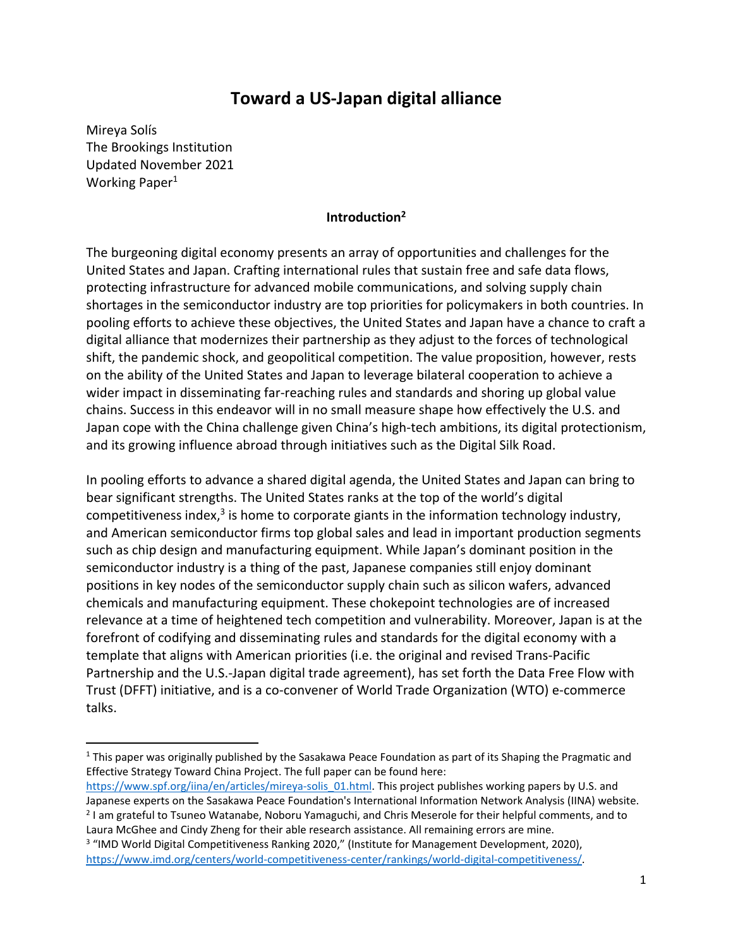# **Toward a US-Japan digital alliance**

Mireya Solís The Brookings Institution Updated November 2021 Working Paper<sup>1</sup>

### **Introduction<sup>2</sup>**

The burgeoning digital economy presents an array of opportunities and challenges for the United States and Japan. Crafting international rules that sustain free and safe data flows, protecting infrastructure for advanced mobile communications, and solving supply chain shortages in the semiconductor industry are top priorities for policymakers in both countries. In pooling efforts to achieve these objectives, the United States and Japan have a chance to craft a digital alliance that modernizes their partnership as they adjust to the forces of technological shift, the pandemic shock, and geopolitical competition. The value proposition, however, rests on the ability of the United States and Japan to leverage bilateral cooperation to achieve a wider impact in disseminating far-reaching rules and standards and shoring up global value chains. Success in this endeavor will in no small measure shape how effectively the U.S. and Japan cope with the China challenge given China's high-tech ambitions, its digital protectionism, and its growing influence abroad through initiatives such as the Digital Silk Road.

In pooling efforts to advance a shared digital agenda, the United States and Japan can bring to bear significant strengths. The United States ranks at the top of the world's digital competitiveness index,<sup>3</sup> is home to corporate giants in the information technology industry, and American semiconductor firms top global sales and lead in important production segments such as chip design and manufacturing equipment. While Japan's dominant position in the semiconductor industry is a thing of the past, Japanese companies still enjoy dominant positions in key nodes of the semiconductor supply chain such as silicon wafers, advanced chemicals and manufacturing equipment. These chokepoint technologies are of increased relevance at a time of heightened tech competition and vulnerability. Moreover, Japan is at the forefront of codifying and disseminating rules and standards for the digital economy with a template that aligns with American priorities (i.e. the original and revised Trans-Pacific Partnership and the U.S.-Japan digital trade agreement), has set forth the Data Free Flow with Trust (DFFT) initiative, and is a co-convener of World Trade Organization (WTO) e-commerce talks.

 $1$  This paper was originally published by the Sasakawa Peace Foundation as part of its Shaping the Pragmatic and Effective Strategy Toward China Project. The full paper can be found here:

[https://www.spf.org/iina/en/articles/mireya-solis\\_01.html.](https://www.spf.org/iina/en/articles/mireya-solis_01.html) This project publishes working papers by U.S. and Japanese experts on the Sasakawa Peace Foundation's International Information Network Analysis (IINA) website.

<sup>&</sup>lt;sup>2</sup> I am grateful to Tsuneo Watanabe, Noboru Yamaguchi, and Chris Meserole for their helpful comments, and to Laura McGhee and Cindy Zheng for their able research assistance. All remaining errors are mine. <sup>3</sup> "IMD World Digital Competitiveness Ranking 2020," (Institute for Management Development, 2020),

[https://www.imd.org/centers/world-competitiveness-center/rankings/world-digital-competitiveness/.](https://www.imd.org/centers/world-competitiveness-center/rankings/world-digital-competitiveness/)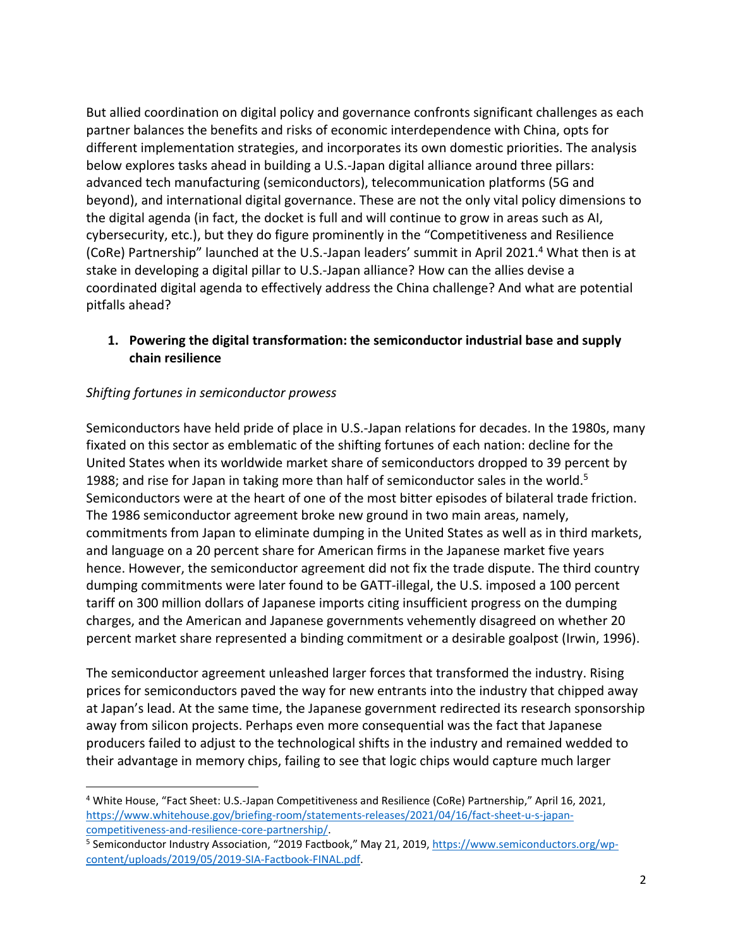But allied coordination on digital policy and governance confronts significant challenges as each partner balances the benefits and risks of economic interdependence with China, opts for different implementation strategies, and incorporates its own domestic priorities. The analysis below explores tasks ahead in building a U.S.-Japan digital alliance around three pillars: advanced tech manufacturing (semiconductors), telecommunication platforms (5G and beyond), and international digital governance. These are not the only vital policy dimensions to the digital agenda (in fact, the docket is full and will continue to grow in areas such as AI, cybersecurity, etc.), but they do figure prominently in the "Competitiveness and Resilience (CoRe) Partnership" launched at the U.S.-Japan leaders' summit in April 2021.<sup>4</sup> What then is at stake in developing a digital pillar to U.S.-Japan alliance? How can the allies devise a coordinated digital agenda to effectively address the China challenge? And what are potential pitfalls ahead?

## **1. Powering the digital transformation: the semiconductor industrial base and supply chain resilience**

## *Shifting fortunes in semiconductor prowess*

Semiconductors have held pride of place in U.S.-Japan relations for decades. In the 1980s, many fixated on this sector as emblematic of the shifting fortunes of each nation: decline for the United States when its worldwide market share of semiconductors dropped to 39 percent by 1988; and rise for Japan in taking more than half of semiconductor sales in the world.<sup>5</sup> Semiconductors were at the heart of one of the most bitter episodes of bilateral trade friction. The 1986 semiconductor agreement broke new ground in two main areas, namely, commitments from Japan to eliminate dumping in the United States as well as in third markets, and language on a 20 percent share for American firms in the Japanese market five years hence. However, the semiconductor agreement did not fix the trade dispute. The third country dumping commitments were later found to be GATT-illegal, the U.S. imposed a 100 percent tariff on 300 million dollars of Japanese imports citing insufficient progress on the dumping charges, and the American and Japanese governments vehemently disagreed on whether 20 percent market share represented a binding commitment or a desirable goalpost (Irwin, 1996).

The semiconductor agreement unleashed larger forces that transformed the industry. Rising prices for semiconductors paved the way for new entrants into the industry that chipped away at Japan's lead. At the same time, the Japanese government redirected its research sponsorship away from silicon projects. Perhaps even more consequential was the fact that Japanese producers failed to adjust to the technological shifts in the industry and remained wedded to their advantage in memory chips, failing to see that logic chips would capture much larger

<sup>4</sup> White House, "Fact Sheet: U.S.-Japan Competitiveness and Resilience (CoRe) Partnership," April 16, 2021, [https://www.whitehouse.gov/briefing-room/statements-releases/2021/04/16/fact-sheet-u-s-japan](https://www.whitehouse.gov/briefing-room/statements-releases/2021/04/16/fact-sheet-u-s-japan-competitiveness-and-resilience-core-partnership/)[competitiveness-and-resilience-core-partnership/.](https://www.whitehouse.gov/briefing-room/statements-releases/2021/04/16/fact-sheet-u-s-japan-competitiveness-and-resilience-core-partnership/)

<sup>&</sup>lt;sup>5</sup> Semiconductor Industry Association, "2019 Factbook," May 21, 2019[, https://www.semiconductors.org/wp](https://www.semiconductors.org/wp-content/uploads/2019/05/2019-SIA-Factbook-FINAL.pdf)[content/uploads/2019/05/2019-SIA-Factbook-FINAL.pdf.](https://www.semiconductors.org/wp-content/uploads/2019/05/2019-SIA-Factbook-FINAL.pdf)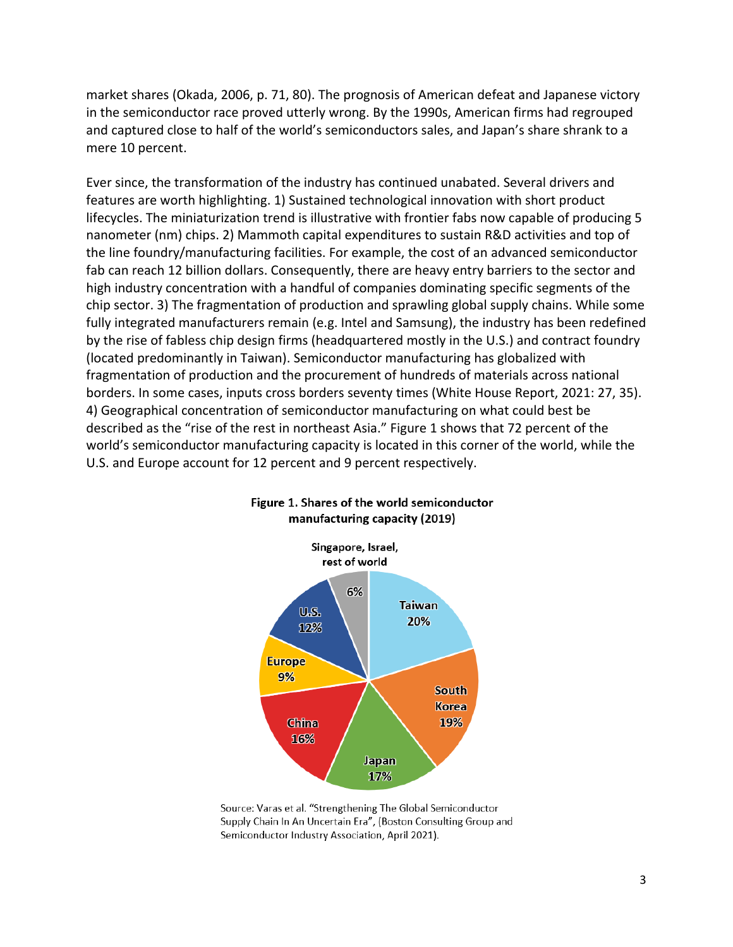market shares (Okada, 2006, p. 71, 80). The prognosis of American defeat and Japanese victory in the semiconductor race proved utterly wrong. By the 1990s, American firms had regrouped and captured close to half of the world's semiconductors sales, and Japan's share shrank to a mere 10 percent.

Ever since, the transformation of the industry has continued unabated. Several drivers and features are worth highlighting. 1) Sustained technological innovation with short product lifecycles. The miniaturization trend is illustrative with frontier fabs now capable of producing 5 nanometer (nm) chips. 2) Mammoth capital expenditures to sustain R&D activities and top of the line foundry/manufacturing facilities. For example, the cost of an advanced semiconductor fab can reach 12 billion dollars. Consequently, there are heavy entry barriers to the sector and high industry concentration with a handful of companies dominating specific segments of the chip sector. 3) The fragmentation of production and sprawling global supply chains. While some fully integrated manufacturers remain (e.g. Intel and Samsung), the industry has been redefined by the rise of fabless chip design firms (headquartered mostly in the U.S.) and contract foundry (located predominantly in Taiwan). Semiconductor manufacturing has globalized with fragmentation of production and the procurement of hundreds of materials across national borders. In some cases, inputs cross borders seventy times (White House Report, 2021: 27, 35). 4) Geographical concentration of semiconductor manufacturing on what could best be described as the "rise of the rest in northeast Asia." Figure 1 shows that 72 percent of the world's semiconductor manufacturing capacity is located in this corner of the world, while the U.S. and Europe account for 12 percent and 9 percent respectively.



#### Figure 1. Shares of the world semiconductor manufacturing capacity (2019)

Source: Varas et al. "Strengthening The Global Semiconductor Supply Chain In An Uncertain Era", (Boston Consulting Group and Semiconductor Industry Association, April 2021).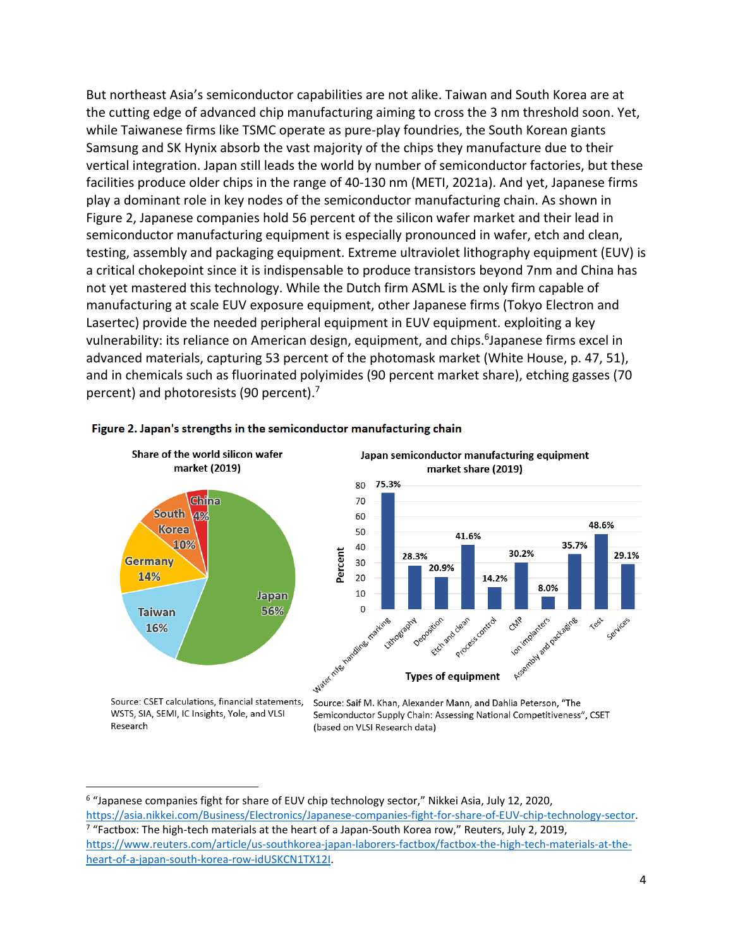But northeast Asia's semiconductor capabilities are not alike. Taiwan and South Korea are at the cutting edge of advanced chip manufacturing aiming to cross the 3 nm threshold soon. Yet, while Taiwanese firms like TSMC operate as pure-play foundries, the South Korean giants Samsung and SK Hynix absorb the vast majority of the chips they manufacture due to their vertical integration. Japan still leads the world by number of semiconductor factories, but these facilities produce older chips in the range of 40-130 nm (METI, 2021a). And yet, Japanese firms play a dominant role in key nodes of the semiconductor manufacturing chain. As shown in Figure 2, Japanese companies hold 56 percent of the silicon wafer market and their lead in semiconductor manufacturing equipment is especially pronounced in wafer, etch and clean, testing, assembly and packaging equipment. Extreme ultraviolet lithography equipment (EUV) is a critical chokepoint since it is indispensable to produce transistors beyond 7nm and China has not yet mastered this technology. While the Dutch firm ASML is the only firm capable of manufacturing at scale EUV exposure equipment, other Japanese firms (Tokyo Electron and Lasertec) provide the needed peripheral equipment in EUV equipment. exploiting a key vulnerability: its reliance on American design, equipment, and chips.<sup>6</sup>Japanese firms excel in advanced materials, capturing 53 percent of the photomask market (White House, p. 47, 51), and in chemicals such as fluorinated polyimides (90 percent market share), etching gasses (70 percent) and photoresists (90 percent).<sup>7</sup>



#### Figure 2. Japan's strengths in the semiconductor manufacturing chain

Research

<sup>(</sup>based on VLSI Research data)

<sup>&</sup>lt;sup>6</sup> "Japanese companies fight for share of EUV chip technology sector," Nikkei Asia, July 12, 2020, [https://asia.nikkei.com/Business/Electronics/Japanese-companies-fight-for-share-of-EUV-chip-technology-sector.](https://asia.nikkei.com/Business/Electronics/Japanese-companies-fight-for-share-of-EUV-chip-technology-sector) <sup>7</sup> "Factbox: The high-tech materials at the heart of a Japan-South Korea row," Reuters, July 2, 2019, [https://www.reuters.com/article/us-southkorea-japan-laborers-factbox/factbox-the-high-tech-materials-at-the](https://www.reuters.com/article/us-southkorea-japan-laborers-factbox/factbox-the-high-tech-materials-at-the-heart-of-a-japan-south-korea-row-idUSKCN1TX12I)[heart-of-a-japan-south-korea-row-idUSKCN1TX12I.](https://www.reuters.com/article/us-southkorea-japan-laborers-factbox/factbox-the-high-tech-materials-at-the-heart-of-a-japan-south-korea-row-idUSKCN1TX12I)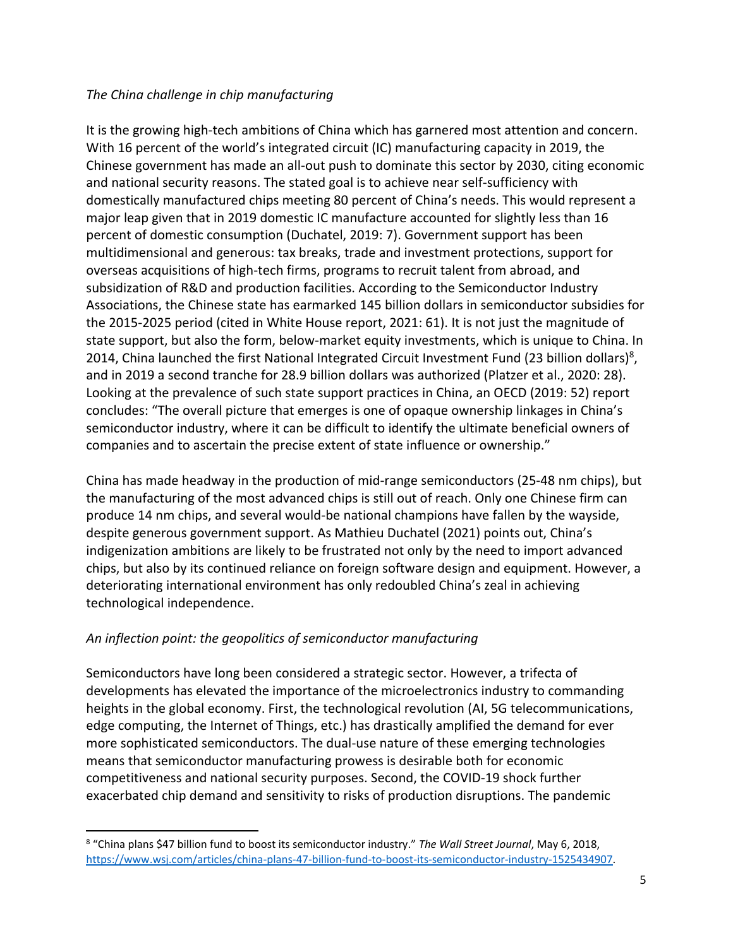## *The China challenge in chip manufacturing*

It is the growing high-tech ambitions of China which has garnered most attention and concern. With 16 percent of the world's integrated circuit (IC) manufacturing capacity in 2019, the Chinese government has made an all-out push to dominate this sector by 2030, citing economic and national security reasons. The stated goal is to achieve near self-sufficiency with domestically manufactured chips meeting 80 percent of China's needs. This would represent a major leap given that in 2019 domestic IC manufacture accounted for slightly less than 16 percent of domestic consumption (Duchatel, 2019: 7). Government support has been multidimensional and generous: tax breaks, trade and investment protections, support for overseas acquisitions of high-tech firms, programs to recruit talent from abroad, and subsidization of R&D and production facilities. According to the Semiconductor Industry Associations, the Chinese state has earmarked 145 billion dollars in semiconductor subsidies for the 2015-2025 period (cited in White House report, 2021: 61). It is not just the magnitude of state support, but also the form, below-market equity investments, which is unique to China. In 2014, China launched the first National Integrated Circuit Investment Fund (23 billion dollars)<sup>8</sup>, and in 2019 a second tranche for 28.9 billion dollars was authorized (Platzer et al., 2020: 28). Looking at the prevalence of such state support practices in China, an OECD (2019: 52) report concludes: "The overall picture that emerges is one of opaque ownership linkages in China's semiconductor industry, where it can be difficult to identify the ultimate beneficial owners of companies and to ascertain the precise extent of state influence or ownership."

China has made headway in the production of mid-range semiconductors (25-48 nm chips), but the manufacturing of the most advanced chips is still out of reach. Only one Chinese firm can produce 14 nm chips, and several would-be national champions have fallen by the wayside, despite generous government support. As Mathieu Duchatel (2021) points out, China's indigenization ambitions are likely to be frustrated not only by the need to import advanced chips, but also by its continued reliance on foreign software design and equipment. However, a deteriorating international environment has only redoubled China's zeal in achieving technological independence.

## *An inflection point: the geopolitics of semiconductor manufacturing*

Semiconductors have long been considered a strategic sector. However, a trifecta of developments has elevated the importance of the microelectronics industry to commanding heights in the global economy. First, the technological revolution (AI, 5G telecommunications, edge computing, the Internet of Things, etc.) has drastically amplified the demand for ever more sophisticated semiconductors. The dual-use nature of these emerging technologies means that semiconductor manufacturing prowess is desirable both for economic competitiveness and national security purposes. Second, the COVID-19 shock further exacerbated chip demand and sensitivity to risks of production disruptions. The pandemic

<sup>8</sup> "China plans \$47 billion fund to boost its semiconductor industry." *The Wall Street Journal*, May 6, 2018, [https://www.wsj.com/articles/china-plans-47-billion-fund-to-boost-its-semiconductor-industry-1525434907.](https://www.wsj.com/articles/china-plans-47-billion-fund-to-boost-its-semiconductor-industry-1525434907)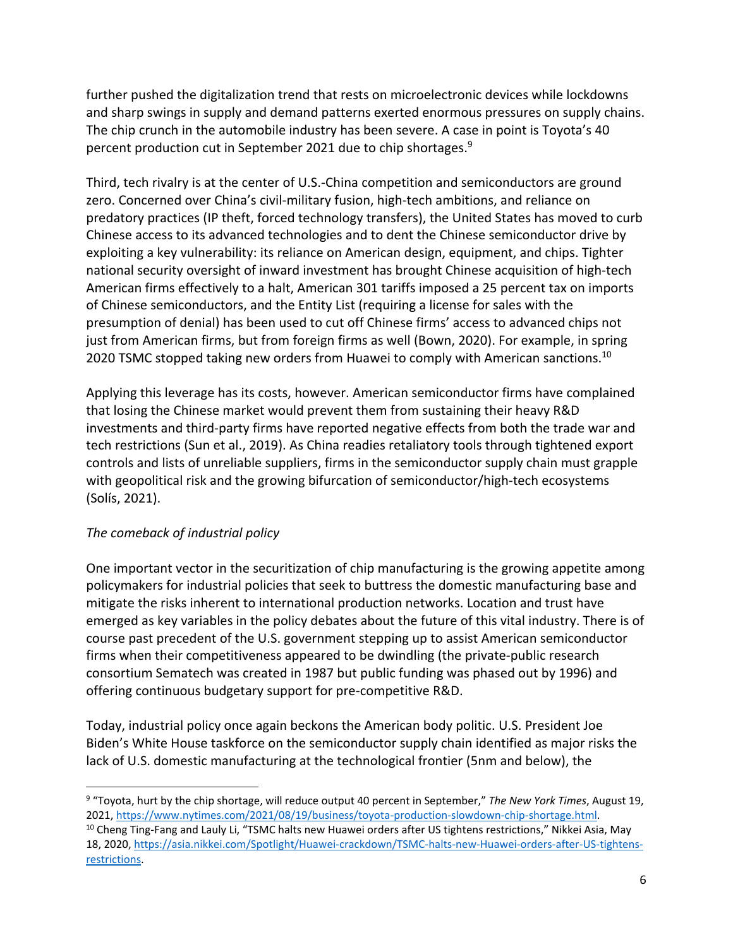further pushed the digitalization trend that rests on microelectronic devices while lockdowns and sharp swings in supply and demand patterns exerted enormous pressures on supply chains. The chip crunch in the automobile industry has been severe. A case in point is Toyota's 40 percent production cut in September 2021 due to chip shortages.<sup>9</sup>

Third, tech rivalry is at the center of U.S.-China competition and semiconductors are ground zero. Concerned over China's civil-military fusion, high-tech ambitions, and reliance on predatory practices (IP theft, forced technology transfers), the United States has moved to curb Chinese access to its advanced technologies and to dent the Chinese semiconductor drive by exploiting a key vulnerability: its reliance on American design, equipment, and chips. Tighter national security oversight of inward investment has brought Chinese acquisition of high-tech American firms effectively to a halt, American 301 tariffs imposed a 25 percent tax on imports of Chinese semiconductors, and the Entity List (requiring a license for sales with the presumption of denial) has been used to cut off Chinese firms' access to advanced chips not just from American firms, but from foreign firms as well (Bown, 2020). For example, in spring 2020 TSMC stopped taking new orders from Huawei to comply with American sanctions.<sup>10</sup>

Applying this leverage has its costs, however. American semiconductor firms have complained that losing the Chinese market would prevent them from sustaining their heavy R&D investments and third-party firms have reported negative effects from both the trade war and tech restrictions (Sun et al., 2019). As China readies retaliatory tools through tightened export controls and lists of unreliable suppliers, firms in the semiconductor supply chain must grapple with geopolitical risk and the growing bifurcation of semiconductor/high-tech ecosystems (Solís, 2021).

## *The comeback of industrial policy*

One important vector in the securitization of chip manufacturing is the growing appetite among policymakers for industrial policies that seek to buttress the domestic manufacturing base and mitigate the risks inherent to international production networks. Location and trust have emerged as key variables in the policy debates about the future of this vital industry. There is of course past precedent of the U.S. government stepping up to assist American semiconductor firms when their competitiveness appeared to be dwindling (the private-public research consortium Sematech was created in 1987 but public funding was phased out by 1996) and offering continuous budgetary support for pre-competitive R&D.

Today, industrial policy once again beckons the American body politic. U.S. President Joe Biden's White House taskforce on the semiconductor supply chain identified as major risks the lack of U.S. domestic manufacturing at the technological frontier (5nm and below), the

[restrictions.](https://asia.nikkei.com/Spotlight/Huawei-crackdown/TSMC-halts-new-Huawei-orders-after-US-tightens-restrictions)

<sup>9</sup> "Toyota, hurt by the chip shortage, will reduce output 40 percent in September," *The New York Times*, August 19, 2021, [https://www.nytimes.com/2021/08/19/business/toyota-production-slowdown-chip-shortage.html.](https://www.nytimes.com/2021/08/19/business/toyota-production-slowdown-chip-shortage.html)  $10$  Cheng Ting-Fang and Lauly Li, "TSMC halts new Huawei orders after US tightens restrictions," Nikkei Asia, May 18, 2020, [https://asia.nikkei.com/Spotlight/Huawei-crackdown/TSMC-halts-new-Huawei-orders-after-US-tightens-](https://asia.nikkei.com/Spotlight/Huawei-crackdown/TSMC-halts-new-Huawei-orders-after-US-tightens-restrictions)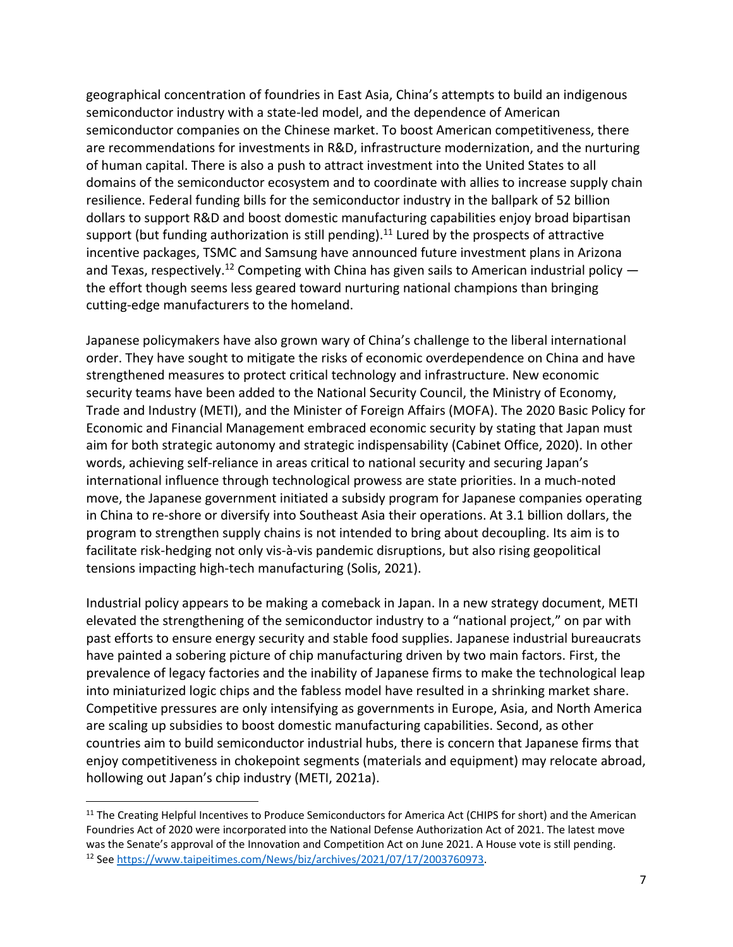geographical concentration of foundries in East Asia, China's attempts to build an indigenous semiconductor industry with a state-led model, and the dependence of American semiconductor companies on the Chinese market. To boost American competitiveness, there are recommendations for investments in R&D, infrastructure modernization, and the nurturing of human capital. There is also a push to attract investment into the United States to all domains of the semiconductor ecosystem and to coordinate with allies to increase supply chain resilience. Federal funding bills for the semiconductor industry in the ballpark of 52 billion dollars to support R&D and boost domestic manufacturing capabilities enjoy broad bipartisan support (but funding authorization is still pending).<sup>11</sup> Lured by the prospects of attractive incentive packages, TSMC and Samsung have announced future investment plans in Arizona and Texas, respectively.<sup>12</sup> Competing with China has given sails to American industrial policy  $$ the effort though seems less geared toward nurturing national champions than bringing cutting-edge manufacturers to the homeland.

Japanese policymakers have also grown wary of China's challenge to the liberal international order. They have sought to mitigate the risks of economic overdependence on China and have strengthened measures to protect critical technology and infrastructure. New economic security teams have been added to the National Security Council, the Ministry of Economy, Trade and Industry (METI), and the Minister of Foreign Affairs (MOFA). The 2020 Basic Policy for Economic and Financial Management embraced economic security by stating that Japan must aim for both strategic autonomy and strategic indispensability (Cabinet Office, 2020). In other words, achieving self-reliance in areas critical to national security and securing Japan's international influence through technological prowess are state priorities. In a much-noted move, the Japanese government initiated a subsidy program for Japanese companies operating in China to re-shore or diversify into Southeast Asia their operations. At 3.1 billion dollars, the program to strengthen supply chains is not intended to bring about decoupling. Its aim is to facilitate risk-hedging not only vis-à-vis pandemic disruptions, but also rising geopolitical tensions impacting high-tech manufacturing (Solis, 2021).

Industrial policy appears to be making a comeback in Japan. In a new strategy document, METI elevated the strengthening of the semiconductor industry to a "national project," on par with past efforts to ensure energy security and stable food supplies. Japanese industrial bureaucrats have painted a sobering picture of chip manufacturing driven by two main factors. First, the prevalence of legacy factories and the inability of Japanese firms to make the technological leap into miniaturized logic chips and the fabless model have resulted in a shrinking market share. Competitive pressures are only intensifying as governments in Europe, Asia, and North America are scaling up subsidies to boost domestic manufacturing capabilities. Second, as other countries aim to build semiconductor industrial hubs, there is concern that Japanese firms that enjoy competitiveness in chokepoint segments (materials and equipment) may relocate abroad, hollowing out Japan's chip industry (METI, 2021a).

<sup>&</sup>lt;sup>11</sup> The Creating Helpful Incentives to Produce Semiconductors for America Act (CHIPS for short) and the American Foundries Act of 2020 were incorporated into the National Defense Authorization Act of 2021. The latest move was the Senate's approval of the Innovation and Competition Act on June 2021. A House vote is still pending. <sup>12</sup> Se[e https://www.taipeitimes.com/News/biz/archives/2021/07/17/2003760973.](https://www.taipeitimes.com/News/biz/archives/2021/07/17/2003760973)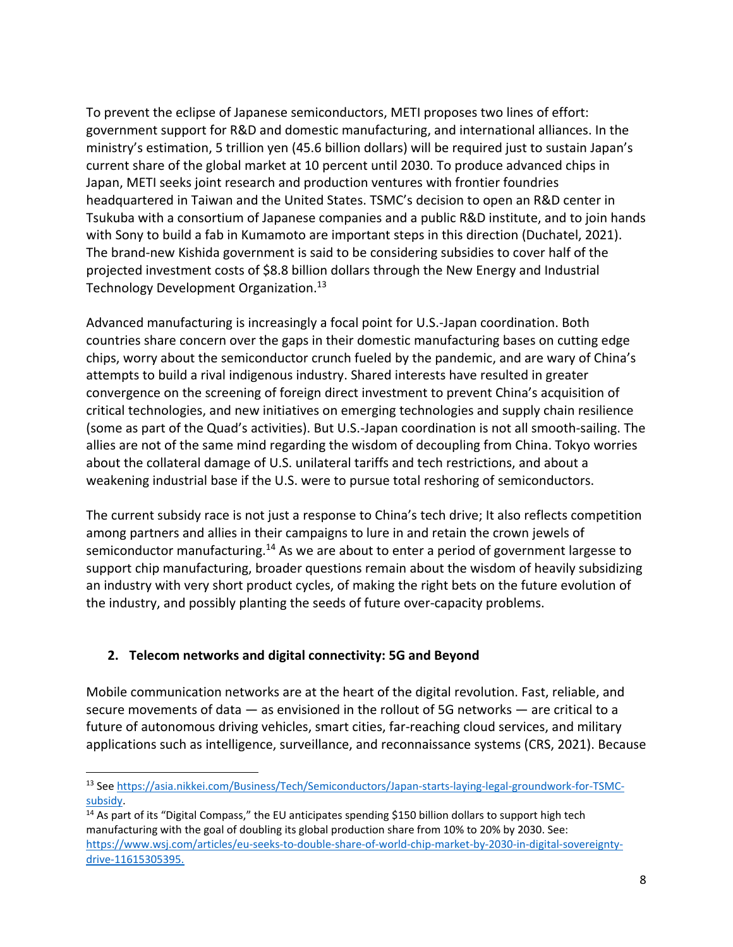To prevent the eclipse of Japanese semiconductors, METI proposes two lines of effort: government support for R&D and domestic manufacturing, and international alliances. In the ministry's estimation, 5 trillion yen (45.6 billion dollars) will be required just to sustain Japan's current share of the global market at 10 percent until 2030. To produce advanced chips in Japan, METI seeks joint research and production ventures with frontier foundries headquartered in Taiwan and the United States. TSMC's decision to open an R&D center in Tsukuba with a consortium of Japanese companies and a public R&D institute, and to join hands with Sony to build a fab in Kumamoto are important steps in this direction (Duchatel, 2021). The brand-new Kishida government is said to be considering subsidies to cover half of the projected investment costs of \$8.8 billion dollars through the New Energy and Industrial Technology Development Organization.<sup>13</sup>

Advanced manufacturing is increasingly a focal point for U.S.-Japan coordination. Both countries share concern over the gaps in their domestic manufacturing bases on cutting edge chips, worry about the semiconductor crunch fueled by the pandemic, and are wary of China's attempts to build a rival indigenous industry. Shared interests have resulted in greater convergence on the screening of foreign direct investment to prevent China's acquisition of critical technologies, and new initiatives on emerging technologies and supply chain resilience (some as part of the Quad's activities). But U.S.-Japan coordination is not all smooth-sailing. The allies are not of the same mind regarding the wisdom of decoupling from China. Tokyo worries about the collateral damage of U.S. unilateral tariffs and tech restrictions, and about a weakening industrial base if the U.S. were to pursue total reshoring of semiconductors.

The current subsidy race is not just a response to China's tech drive; It also reflects competition among partners and allies in their campaigns to lure in and retain the crown jewels of semiconductor manufacturing.<sup>14</sup> As we are about to enter a period of government largesse to support chip manufacturing, broader questions remain about the wisdom of heavily subsidizing an industry with very short product cycles, of making the right bets on the future evolution of the industry, and possibly planting the seeds of future over-capacity problems.

## **2. Telecom networks and digital connectivity: 5G and Beyond**

Mobile communication networks are at the heart of the digital revolution. Fast, reliable, and secure movements of data — as envisioned in the rollout of 5G networks — are critical to a future of autonomous driving vehicles, smart cities, far-reaching cloud services, and military applications such as intelligence, surveillance, and reconnaissance systems (CRS, 2021). Because

<sup>13</sup> Se[e https://asia.nikkei.com/Business/Tech/Semiconductors/Japan-starts-laying-legal-groundwork-for-TSMC](https://asia.nikkei.com/Business/Tech/Semiconductors/Japan-starts-laying-legal-groundwork-for-TSMC-subsidy)[subsidy.](https://asia.nikkei.com/Business/Tech/Semiconductors/Japan-starts-laying-legal-groundwork-for-TSMC-subsidy) 

<sup>&</sup>lt;sup>14</sup> As part of its "Digital Compass," the EU anticipates spending \$150 billion dollars to support high tech manufacturing with the goal of doubling its global production share from 10% to 20% by 2030. See: [https://www.wsj.com/articles/eu-seeks-to-double-share-of-world-chip-market-by-2030-in-digital-sovereignty](https://www.wsj.com/articles/eu-seeks-to-double-share-of-world-chip-market-by-2030-in-digital-sovereignty-drive-11615305395)[drive-11615305395.](https://www.wsj.com/articles/eu-seeks-to-double-share-of-world-chip-market-by-2030-in-digital-sovereignty-drive-11615305395)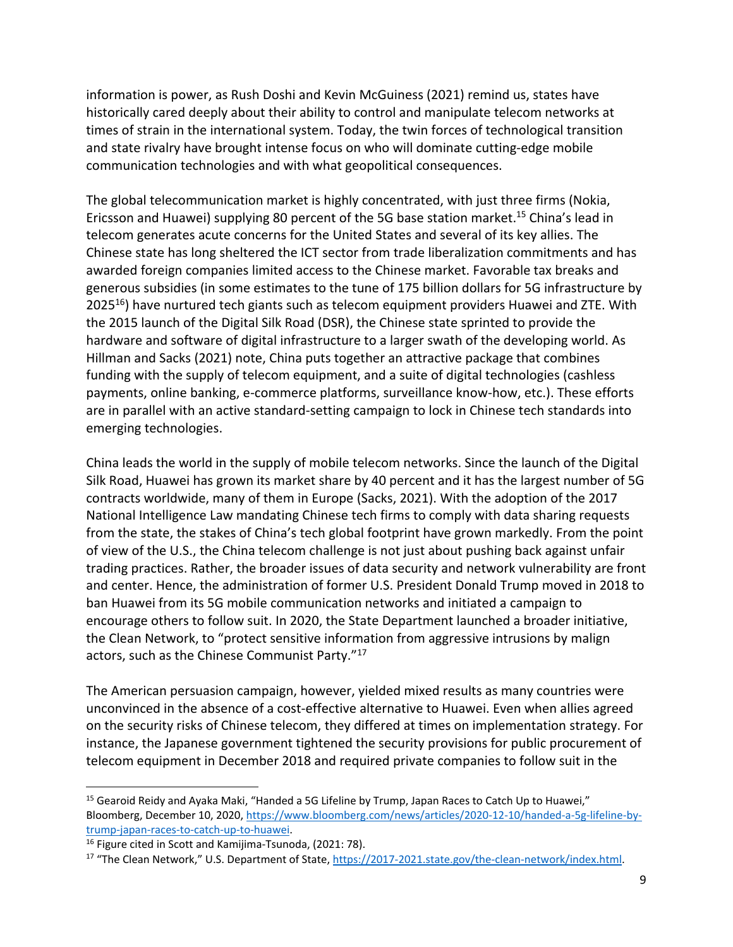information is power, as Rush Doshi and Kevin McGuiness (2021) remind us, states have historically cared deeply about their ability to control and manipulate telecom networks at times of strain in the international system. Today, the twin forces of technological transition and state rivalry have brought intense focus on who will dominate cutting-edge mobile communication technologies and with what geopolitical consequences.

The global telecommunication market is highly concentrated, with just three firms (Nokia, Ericsson and Huawei) supplying 80 percent of the 5G base station market. <sup>15</sup> China's lead in telecom generates acute concerns for the United States and several of its key allies. The Chinese state has long sheltered the ICT sector from trade liberalization commitments and has awarded foreign companies limited access to the Chinese market. Favorable tax breaks and generous subsidies (in some estimates to the tune of 175 billion dollars for 5G infrastructure by  $2025<sup>16</sup>$ ) have nurtured tech giants such as telecom equipment providers Huawei and ZTE. With the 2015 launch of the Digital Silk Road (DSR), the Chinese state sprinted to provide the hardware and software of digital infrastructure to a larger swath of the developing world. As Hillman and Sacks (2021) note, China puts together an attractive package that combines funding with the supply of telecom equipment, and a suite of digital technologies (cashless payments, online banking, e-commerce platforms, surveillance know-how, etc.). These efforts are in parallel with an active standard-setting campaign to lock in Chinese tech standards into emerging technologies.

China leads the world in the supply of mobile telecom networks. Since the launch of the Digital Silk Road, Huawei has grown its market share by 40 percent and it has the largest number of 5G contracts worldwide, many of them in Europe (Sacks, 2021). With the adoption of the 2017 National Intelligence Law mandating Chinese tech firms to comply with data sharing requests from the state, the stakes of China's tech global footprint have grown markedly. From the point of view of the U.S., the China telecom challenge is not just about pushing back against unfair trading practices. Rather, the broader issues of data security and network vulnerability are front and center. Hence, the administration of former U.S. President Donald Trump moved in 2018 to ban Huawei from its 5G mobile communication networks and initiated a campaign to encourage others to follow suit. In 2020, the State Department launched a broader initiative, the Clean Network, to "protect sensitive information from aggressive intrusions by malign actors, such as the Chinese Communist Party."<sup>17</sup>

The American persuasion campaign, however, yielded mixed results as many countries were unconvinced in the absence of a cost-effective alternative to Huawei. Even when allies agreed on the security risks of Chinese telecom, they differed at times on implementation strategy. For instance, the Japanese government tightened the security provisions for public procurement of telecom equipment in December 2018 and required private companies to follow suit in the

<sup>&</sup>lt;sup>15</sup> Gearoid Reidy and Ayaka Maki, "Handed a 5G Lifeline by Trump, Japan Races to Catch Up to Huawei," Bloomberg, December 10, 2020[, https://www.bloomberg.com/news/articles/2020-12-10/handed-a-5g-lifeline-by](https://www.bloomberg.com/news/articles/2020-12-10/handed-a-5g-lifeline-by-trump-japan-races-to-catch-up-to-huawei)[trump-japan-races-to-catch-up-to-huawei.](https://www.bloomberg.com/news/articles/2020-12-10/handed-a-5g-lifeline-by-trump-japan-races-to-catch-up-to-huawei)

<sup>&</sup>lt;sup>16</sup> Figure cited in Scott and Kamijima-Tsunoda, (2021: 78).

<sup>&</sup>lt;sup>17</sup> "The Clean Network," U.S. Department of State, [https://2017-2021.state.gov/the-clean-network/index.html.](https://2017-2021.state.gov/the-clean-network/index.html)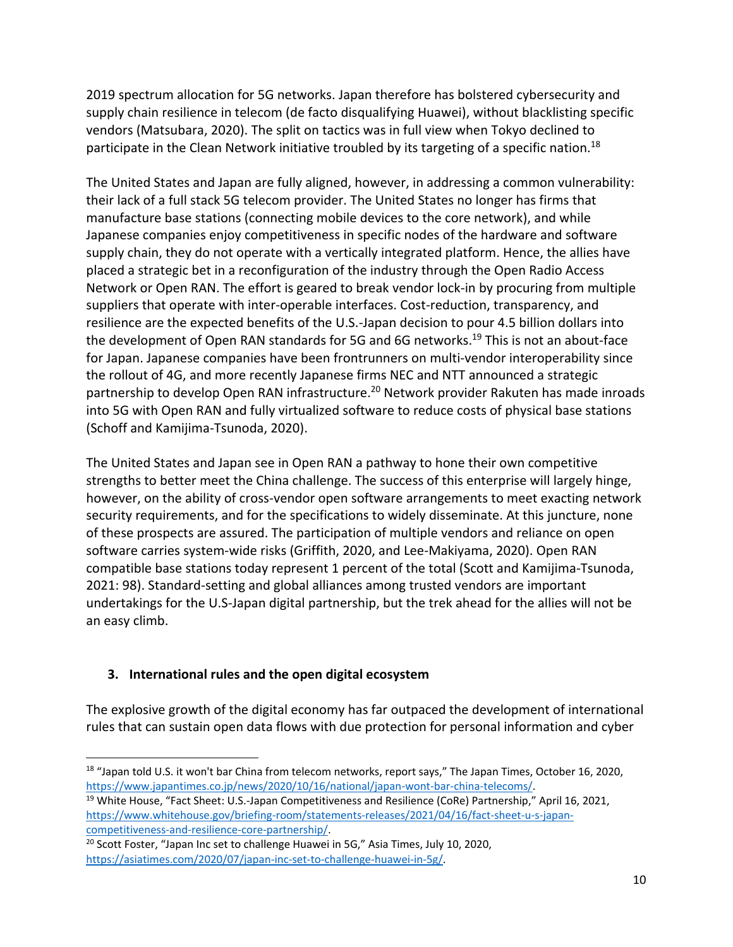2019 spectrum allocation for 5G networks. Japan therefore has bolstered cybersecurity and supply chain resilience in telecom (de facto disqualifying Huawei), without blacklisting specific vendors (Matsubara, 2020). The split on tactics was in full view when Tokyo declined to participate in the Clean Network initiative troubled by its targeting of a specific nation.<sup>18</sup>

The United States and Japan are fully aligned, however, in addressing a common vulnerability: their lack of a full stack 5G telecom provider. The United States no longer has firms that manufacture base stations (connecting mobile devices to the core network), and while Japanese companies enjoy competitiveness in specific nodes of the hardware and software supply chain, they do not operate with a vertically integrated platform. Hence, the allies have placed a strategic bet in a reconfiguration of the industry through the Open Radio Access Network or Open RAN. The effort is geared to break vendor lock-in by procuring from multiple suppliers that operate with inter-operable interfaces. Cost-reduction, transparency, and resilience are the expected benefits of the U.S.-Japan decision to pour 4.5 billion dollars into the development of Open RAN standards for 5G and 6G networks. <sup>19</sup> This is not an about-face for Japan. Japanese companies have been frontrunners on multi-vendor interoperability since the rollout of 4G, and more recently Japanese firms NEC and NTT announced a strategic partnership to develop Open RAN infrastructure.<sup>20</sup> Network provider Rakuten has made inroads into 5G with Open RAN and fully virtualized software to reduce costs of physical base stations (Schoff and Kamijima-Tsunoda, 2020).

The United States and Japan see in Open RAN a pathway to hone their own competitive strengths to better meet the China challenge. The success of this enterprise will largely hinge, however, on the ability of cross-vendor open software arrangements to meet exacting network security requirements, and for the specifications to widely disseminate. At this juncture, none of these prospects are assured. The participation of multiple vendors and reliance on open software carries system-wide risks (Griffith, 2020, and Lee-Makiyama, 2020). Open RAN compatible base stations today represent 1 percent of the total (Scott and Kamijima-Tsunoda, 2021: 98). Standard-setting and global alliances among trusted vendors are important undertakings for the U.S-Japan digital partnership, but the trek ahead for the allies will not be an easy climb.

## **3. International rules and the open digital ecosystem**

The explosive growth of the digital economy has far outpaced the development of international rules that can sustain open data flows with due protection for personal information and cyber

<sup>&</sup>lt;sup>18</sup> "Japan told U.S. it won't bar China from telecom networks, report says," The Japan Times, October 16, 2020, [https://www.japantimes.co.jp/news/2020/10/16/national/japan-wont-bar-china-telecoms/.](https://www.japantimes.co.jp/news/2020/10/16/national/japan-wont-bar-china-telecoms/)

<sup>&</sup>lt;sup>19</sup> White House, "Fact Sheet: U.S.-Japan Competitiveness and Resilience (CoRe) Partnership," April 16, 2021, [https://www.whitehouse.gov/briefing-room/statements-releases/2021/04/16/fact-sheet-u-s-japan](https://www.whitehouse.gov/briefing-room/statements-releases/2021/04/16/fact-sheet-u-s-japan-competitiveness-and-resilience-core-partnership/)[competitiveness-and-resilience-core-partnership/.](https://www.whitehouse.gov/briefing-room/statements-releases/2021/04/16/fact-sheet-u-s-japan-competitiveness-and-resilience-core-partnership/)

<sup>&</sup>lt;sup>20</sup> Scott Foster, "Japan Inc set to challenge Huawei in 5G," Asia Times, July 10, 2020, [https://asiatimes.com/2020/07/japan-inc-set-to-challenge-huawei-in-5g/.](https://asiatimes.com/2020/07/japan-inc-set-to-challenge-huawei-in-5g/)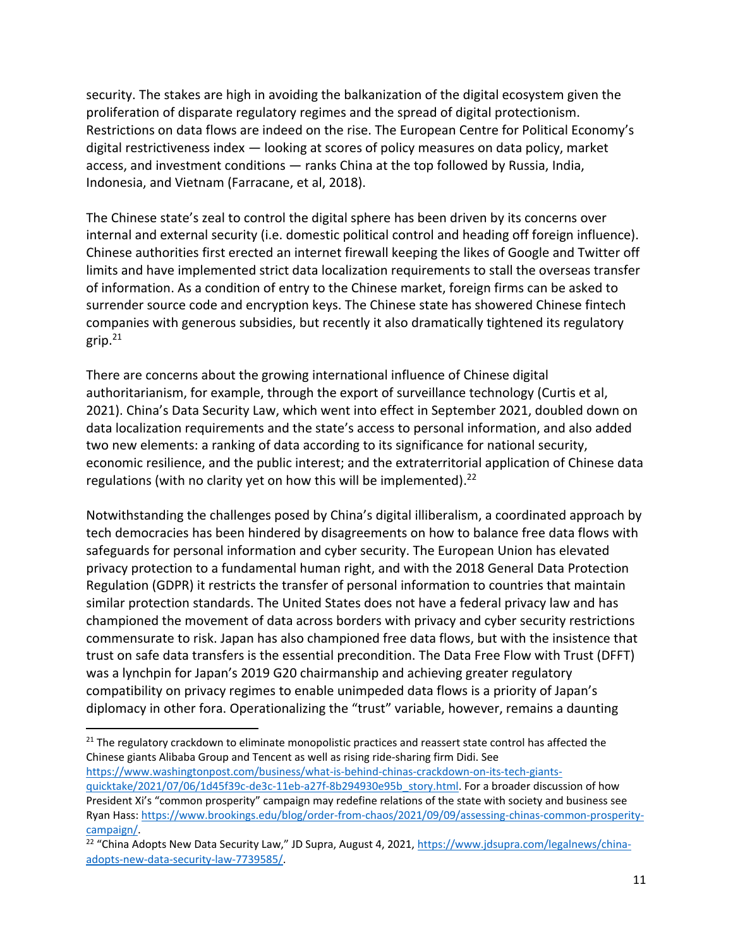security. The stakes are high in avoiding the balkanization of the digital ecosystem given the proliferation of disparate regulatory regimes and the spread of digital protectionism. Restrictions on data flows are indeed on the rise. The European Centre for Political Economy's digital restrictiveness index — looking at scores of policy measures on data policy, market access, and investment conditions — ranks China at the top followed by Russia, India, Indonesia, and Vietnam (Farracane, et al, 2018).

The Chinese state's zeal to control the digital sphere has been driven by its concerns over internal and external security (i.e. domestic political control and heading off foreign influence). Chinese authorities first erected an internet firewall keeping the likes of Google and Twitter off limits and have implemented strict data localization requirements to stall the overseas transfer of information. As a condition of entry to the Chinese market, foreign firms can be asked to surrender source code and encryption keys. The Chinese state has showered Chinese fintech companies with generous subsidies, but recently it also dramatically tightened its regulatory grip. 21

There are concerns about the growing international influence of Chinese digital authoritarianism, for example, through the export of surveillance technology (Curtis et al, 2021). China's Data Security Law, which went into effect in September 2021, doubled down on data localization requirements and the state's access to personal information, and also added two new elements: a ranking of data according to its significance for national security, economic resilience, and the public interest; and the extraterritorial application of Chinese data regulations (with no clarity yet on how this will be implemented). $^{22}$ 

Notwithstanding the challenges posed by China's digital illiberalism, a coordinated approach by tech democracies has been hindered by disagreements on how to balance free data flows with safeguards for personal information and cyber security. The European Union has elevated privacy protection to a fundamental human right, and with the 2018 General Data Protection Regulation (GDPR) it restricts the transfer of personal information to countries that maintain similar protection standards. The United States does not have a federal privacy law and has championed the movement of data across borders with privacy and cyber security restrictions commensurate to risk. Japan has also championed free data flows, but with the insistence that trust on safe data transfers is the essential precondition. The Data Free Flow with Trust (DFFT) was a lynchpin for Japan's 2019 G20 chairmanship and achieving greater regulatory compatibility on privacy regimes to enable unimpeded data flows is a priority of Japan's diplomacy in other fora. Operationalizing the "trust" variable, however, remains a daunting

 $21$  The regulatory crackdown to eliminate monopolistic practices and reassert state control has affected the Chinese giants Alibaba Group and Tencent as well as rising ride-sharing firm Didi. See [https://www.washingtonpost.com/business/what-is-behind-chinas-crackdown-on-its-tech-giants-](https://www.washingtonpost.com/business/what-is-behind-chinas-crackdown-on-its-tech-giants-quicktake/2021/07/06/1d45f39c-de3c-11eb-a27f-8b294930e95b_story.html)

[quicktake/2021/07/06/1d45f39c-de3c-11eb-a27f-8b294930e95b\\_story.html.](https://www.washingtonpost.com/business/what-is-behind-chinas-crackdown-on-its-tech-giants-quicktake/2021/07/06/1d45f39c-de3c-11eb-a27f-8b294930e95b_story.html) For a broader discussion of how President Xi's "common prosperity" campaign may redefine relations of the state with society and business see Ryan Hass: [https://www.brookings.edu/blog/order-from-chaos/2021/09/09/assessing-chinas-common-prosperity](https://www.brookings.edu/blog/order-from-chaos/2021/09/09/assessing-chinas-common-prosperity-campaign/)[campaign/.](https://www.brookings.edu/blog/order-from-chaos/2021/09/09/assessing-chinas-common-prosperity-campaign/)

<sup>&</sup>lt;sup>22</sup> "China Adopts New Data Security Law," JD Supra, August 4, 2021, <u>https://www.jdsupra.com/legalnews/china-</u> [adopts-new-data-security-law-7739585/.](https://www.jdsupra.com/legalnews/china-adopts-new-data-security-law-7739585/)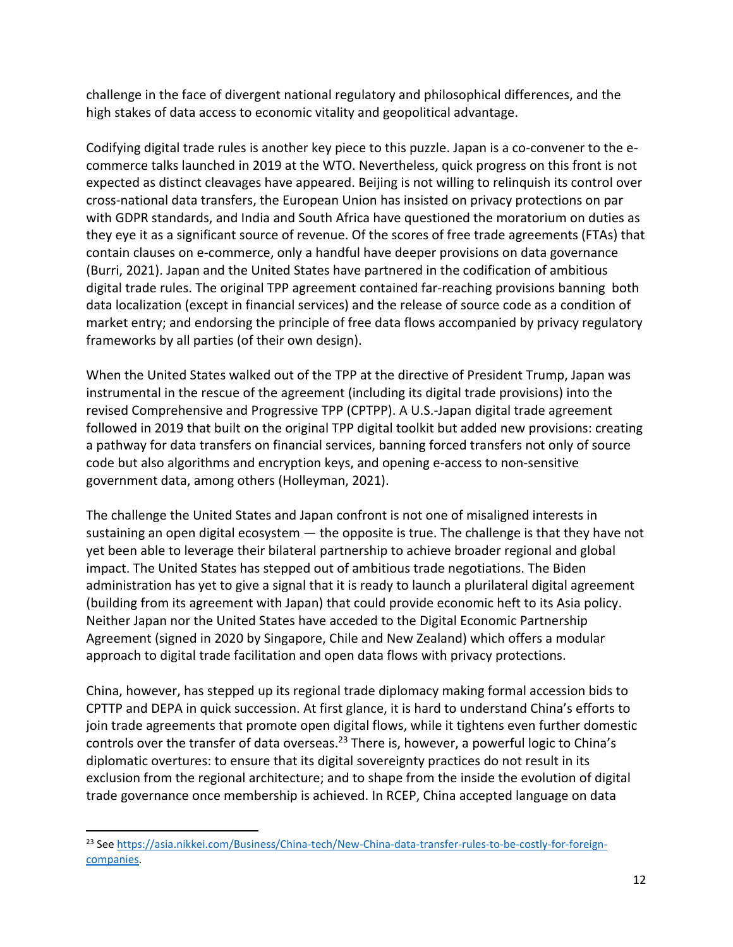challenge in the face of divergent national regulatory and philosophical differences, and the high stakes of data access to economic vitality and geopolitical advantage.

Codifying digital trade rules is another key piece to this puzzle. Japan is a co-convener to the ecommerce talks launched in 2019 at the WTO. Nevertheless, quick progress on this front is not expected as distinct cleavages have appeared. Beijing is not willing to relinquish its control over cross-national data transfers, the European Union has insisted on privacy protections on par with GDPR standards, and India and South Africa have questioned the moratorium on duties as they eye it as a significant source of revenue. Of the scores of free trade agreements (FTAs) that contain clauses on e-commerce, only a handful have deeper provisions on data governance (Burri, 2021). Japan and the United States have partnered in the codification of ambitious digital trade rules. The original TPP agreement contained far-reaching provisions banning both data localization (except in financial services) and the release of source code as a condition of market entry; and endorsing the principle of free data flows accompanied by privacy regulatory frameworks by all parties (of their own design).

When the United States walked out of the TPP at the directive of President Trump, Japan was instrumental in the rescue of the agreement (including its digital trade provisions) into the revised Comprehensive and Progressive TPP (CPTPP). A U.S.-Japan digital trade agreement followed in 2019 that built on the original TPP digital toolkit but added new provisions: creating a pathway for data transfers on financial services, banning forced transfers not only of source code but also algorithms and encryption keys, and opening e-access to non-sensitive government data, among others (Holleyman, 2021).

The challenge the United States and Japan confront is not one of misaligned interests in sustaining an open digital ecosystem  $-$  the opposite is true. The challenge is that they have not yet been able to leverage their bilateral partnership to achieve broader regional and global impact. The United States has stepped out of ambitious trade negotiations. The Biden administration has yet to give a signal that it is ready to launch a plurilateral digital agreement (building from its agreement with Japan) that could provide economic heft to its Asia policy. Neither Japan nor the United States have acceded to the Digital Economic Partnership Agreement (signed in 2020 by Singapore, Chile and New Zealand) which offers a modular approach to digital trade facilitation and open data flows with privacy protections.

China, however, has stepped up its regional trade diplomacy making formal accession bids to CPTTP and DEPA in quick succession. At first glance, it is hard to understand China's efforts to join trade agreements that promote open digital flows, while it tightens even further domestic controls over the transfer of data overseas.<sup>23</sup> There is, however, a powerful logic to China's diplomatic overtures: to ensure that its digital sovereignty practices do not result in its exclusion from the regional architecture; and to shape from the inside the evolution of digital trade governance once membership is achieved. In RCEP, China accepted language on data

<sup>23</sup> Se[e https://asia.nikkei.com/Business/China-tech/New-China-data-transfer-rules-to-be-costly-for-foreign](https://asia.nikkei.com/Business/China-tech/New-China-data-transfer-rules-to-be-costly-for-foreign-companies)[companies.](https://asia.nikkei.com/Business/China-tech/New-China-data-transfer-rules-to-be-costly-for-foreign-companies)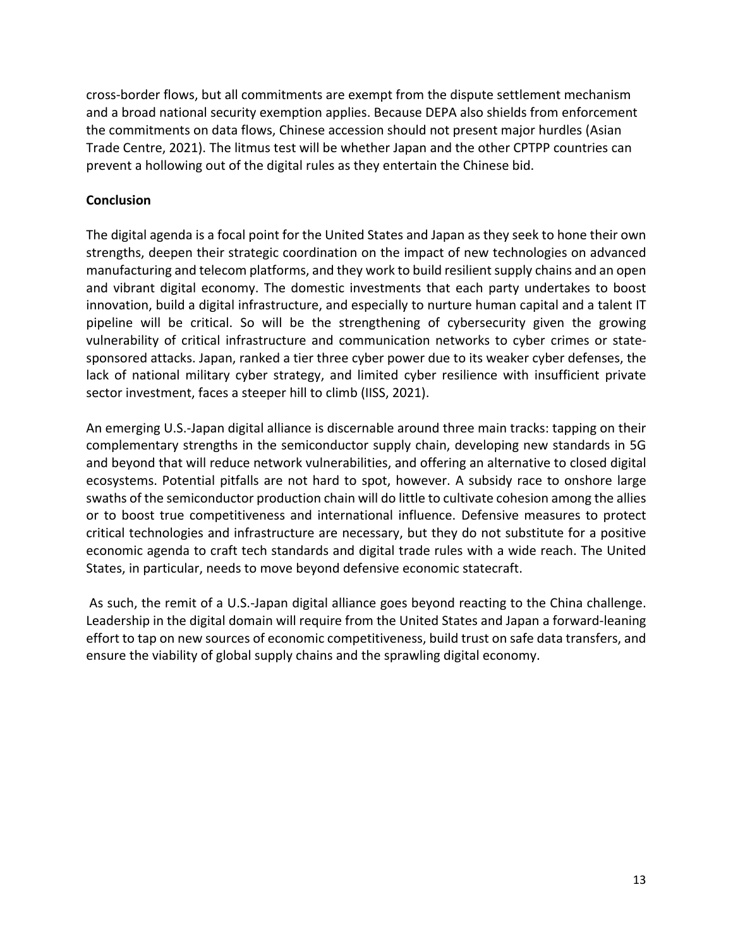cross-border flows, but all commitments are exempt from the dispute settlement mechanism and a broad national security exemption applies. Because DEPA also shields from enforcement the commitments on data flows, Chinese accession should not present major hurdles (Asian Trade Centre, 2021). The litmus test will be whether Japan and the other CPTPP countries can prevent a hollowing out of the digital rules as they entertain the Chinese bid.

### **Conclusion**

The digital agenda is a focal point for the United States and Japan as they seek to hone their own strengths, deepen their strategic coordination on the impact of new technologies on advanced manufacturing and telecom platforms, and they work to build resilient supply chains and an open and vibrant digital economy. The domestic investments that each party undertakes to boost innovation, build a digital infrastructure, and especially to nurture human capital and a talent IT pipeline will be critical. So will be the strengthening of cybersecurity given the growing vulnerability of critical infrastructure and communication networks to cyber crimes or statesponsored attacks. Japan, ranked a tier three cyber power due to its weaker cyber defenses, the lack of national military cyber strategy, and limited cyber resilience with insufficient private sector investment, faces a steeper hill to climb (IISS, 2021).

An emerging U.S.-Japan digital alliance is discernable around three main tracks: tapping on their complementary strengths in the semiconductor supply chain, developing new standards in 5G and beyond that will reduce network vulnerabilities, and offering an alternative to closed digital ecosystems. Potential pitfalls are not hard to spot, however. A subsidy race to onshore large swaths of the semiconductor production chain will do little to cultivate cohesion among the allies or to boost true competitiveness and international influence. Defensive measures to protect critical technologies and infrastructure are necessary, but they do not substitute for a positive economic agenda to craft tech standards and digital trade rules with a wide reach. The United States, in particular, needs to move beyond defensive economic statecraft.

As such, the remit of a U.S.-Japan digital alliance goes beyond reacting to the China challenge. Leadership in the digital domain will require from the United States and Japan a forward-leaning effort to tap on new sources of economic competitiveness, build trust on safe data transfers, and ensure the viability of global supply chains and the sprawling digital economy.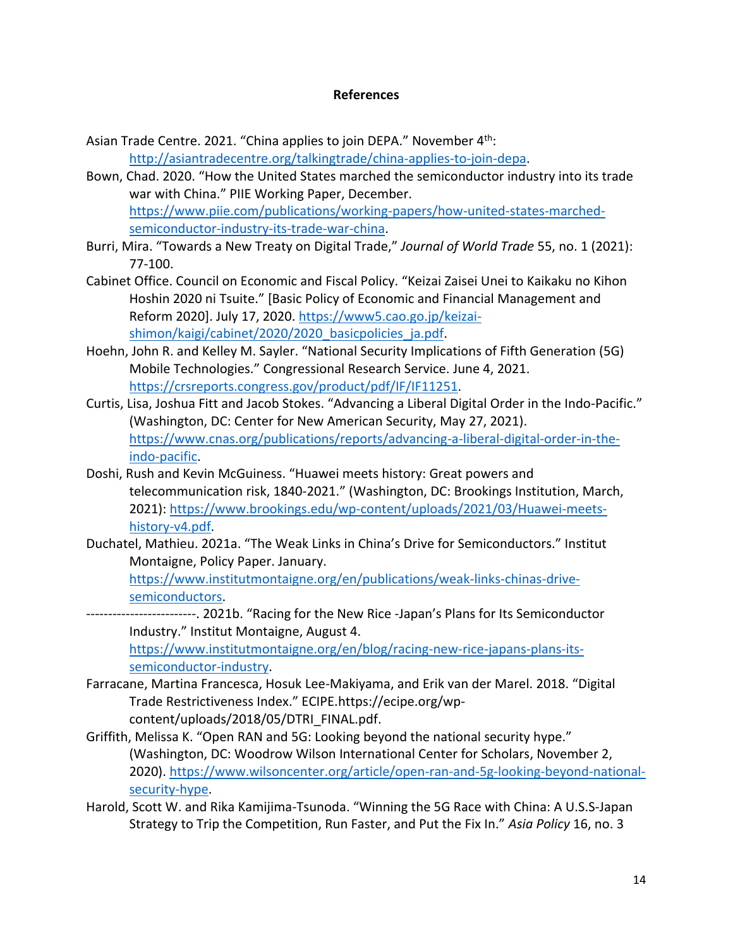#### **References**

Asian Trade Centre. 2021. "China applies to join DEPA." November 4<sup>th</sup>: [http://asiantradecentre.org/talkingtrade/china-applies-to-join-depa.](http://asiantradecentre.org/talkingtrade/china-applies-to-join-depa)

- Bown, Chad. 2020. "How the United States marched the semiconductor industry into its trade war with China." PIIE Working Paper, December. [https://www.piie.com/publications/working-papers/how-united-states-marched](https://www.piie.com/publications/working-papers/how-united-states-marched-semiconductor-industry-its-trade-war-china)[semiconductor-industry-its-trade-war-china.](https://www.piie.com/publications/working-papers/how-united-states-marched-semiconductor-industry-its-trade-war-china)
- Burri, Mira. "Towards a New Treaty on Digital Trade," *Journal of World Trade* 55, no. 1 (2021): 77-100.
- Cabinet Office. Council on Economic and Fiscal Policy. "Keizai Zaisei Unei to Kaikaku no Kihon Hoshin 2020 ni Tsuite." [Basic Policy of Economic and Financial Management and Reform 2020]. July 17, 2020. [https://www5.cao.go.jp/keizai](https://www5.cao.go.jp/keizai-shimon/kaigi/cabinet/2020/2020_basicpolicies_ja.pdf)shimon/kaigi/cabinet/2020/2020 basicpolicies ja.pdf.
- Hoehn, John R. and Kelley M. Sayler. "National Security Implications of Fifth Generation (5G) Mobile Technologies." Congressional Research Service. June 4, 2021. [https://crsreports.congress.gov/product/pdf/IF/IF11251.](https://crsreports.congress.gov/product/pdf/IF/IF11251)
- Curtis, Lisa, Joshua Fitt and Jacob Stokes. "Advancing a Liberal Digital Order in the Indo-Pacific." (Washington, DC: Center for New American Security, May 27, 2021). [https://www.cnas.org/publications/reports/advancing-a-liberal-digital-order-in-the](https://www.cnas.org/publications/reports/advancing-a-liberal-digital-order-in-the-indo-pacific)[indo-pacific.](https://www.cnas.org/publications/reports/advancing-a-liberal-digital-order-in-the-indo-pacific)
- Doshi, Rush and Kevin McGuiness. "Huawei meets history: Great powers and telecommunication risk, 1840-2021." (Washington, DC: Brookings Institution, March, 2021): [https://www.brookings.edu/wp-content/uploads/2021/03/Huawei-meets](https://www.brookings.edu/wp-content/uploads/2021/03/Huawei-meets-history-v4.pdf)[history-v4.pdf.](https://www.brookings.edu/wp-content/uploads/2021/03/Huawei-meets-history-v4.pdf)
- Duchatel, Mathieu. 2021a. "The Weak Links in China's Drive for Semiconductors." Institut Montaigne, Policy Paper. January.

[https://www.institutmontaigne.org/en/publications/weak-links-chinas-drive](https://www.institutmontaigne.org/en/publications/weak-links-chinas-drive-semiconductors)[semiconductors.](https://www.institutmontaigne.org/en/publications/weak-links-chinas-drive-semiconductors)

- -------------------------. 2021b. "Racing for the New Rice -Japan's Plans for Its Semiconductor Industry." Institut Montaigne, August 4. [https://www.institutmontaigne.org/en/blog/racing-new-rice-japans-plans-its](https://www.institutmontaigne.org/en/blog/racing-new-rice-japans-plans-its-semiconductor-industry)[semiconductor-industry.](https://www.institutmontaigne.org/en/blog/racing-new-rice-japans-plans-its-semiconductor-industry)
- Farracane, Martina Francesca, Hosuk Lee-Makiyama, and Erik van der Marel. 2018. "Digital Trade Restrictiveness Index." ECIPE.https://ecipe.org/wpcontent/uploads/2018/05/DTRI\_FINAL.pdf.
- Griffith, Melissa K. "Open RAN and 5G: Looking beyond the national security hype." (Washington, DC: Woodrow Wilson International Center for Scholars, November 2, 2020). [https://www.wilsoncenter.org/article/open-ran-and-5g-looking-beyond-national](https://www.wilsoncenter.org/article/open-ran-and-5g-looking-beyond-national-security-hype)[security-hype.](https://www.wilsoncenter.org/article/open-ran-and-5g-looking-beyond-national-security-hype)
- Harold, Scott W. and Rika Kamijima-Tsunoda. "Winning the 5G Race with China: A U.S.S-Japan Strategy to Trip the Competition, Run Faster, and Put the Fix In." *Asia Policy* 16, no. 3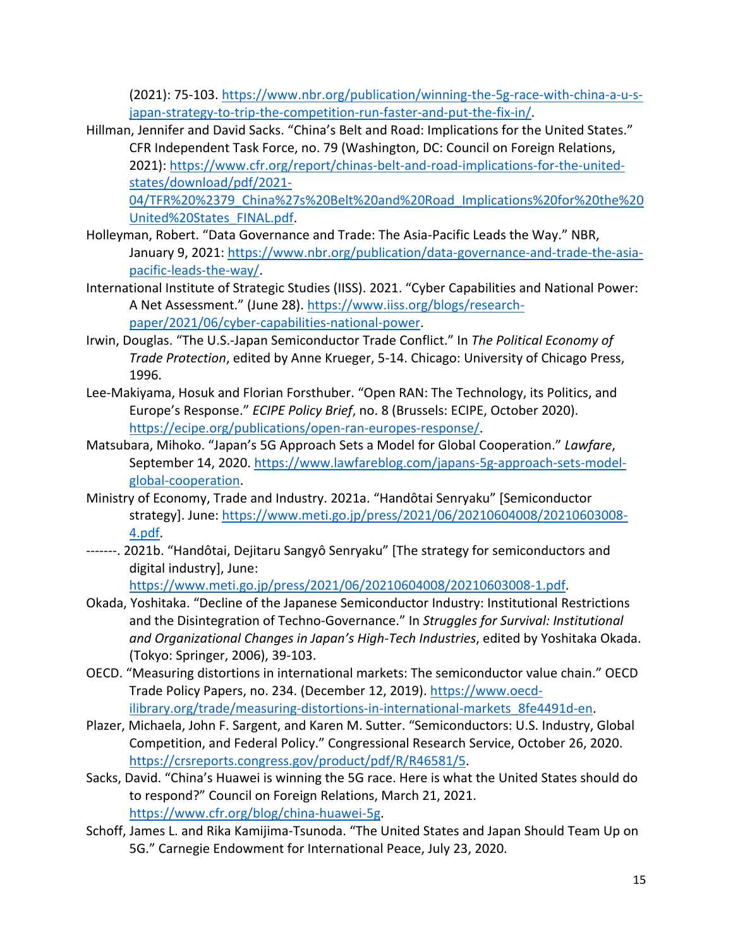(2021): 75-103. [https://www.nbr.org/publication/winning-the-5g-race-with-china-a-u-s](https://www.nbr.org/publication/winning-the-5g-race-with-china-a-u-s-japan-strategy-to-trip-the-competition-run-faster-and-put-the-fix-in/)[japan-strategy-to-trip-the-competition-run-faster-and-put-the-fix-in/.](https://www.nbr.org/publication/winning-the-5g-race-with-china-a-u-s-japan-strategy-to-trip-the-competition-run-faster-and-put-the-fix-in/)

Hillman, Jennifer and David Sacks. "China's Belt and Road: Implications for the United States." CFR Independent Task Force, no. 79 (Washington, DC: Council on Foreign Relations, 2021): [https://www.cfr.org/report/chinas-belt-and-road-implications-for-the-united](https://www.cfr.org/report/chinas-belt-and-road-implications-for-the-united-states/download/pdf/2021-04/TFR%20%2379_China%27s%20Belt%20and%20Road_Implications%20for%20the%20United%20States_FINAL.pdf)[states/download/pdf/2021-](https://www.cfr.org/report/chinas-belt-and-road-implications-for-the-united-states/download/pdf/2021-04/TFR%20%2379_China%27s%20Belt%20and%20Road_Implications%20for%20the%20United%20States_FINAL.pdf)

[04/TFR%20%2379\\_China%27s%20Belt%20and%20Road\\_Implications%20for%20the%20](https://www.cfr.org/report/chinas-belt-and-road-implications-for-the-united-states/download/pdf/2021-04/TFR%20%2379_China%27s%20Belt%20and%20Road_Implications%20for%20the%20United%20States_FINAL.pdf) [United%20States\\_FINAL.pdf.](https://www.cfr.org/report/chinas-belt-and-road-implications-for-the-united-states/download/pdf/2021-04/TFR%20%2379_China%27s%20Belt%20and%20Road_Implications%20for%20the%20United%20States_FINAL.pdf)

- Holleyman, Robert. "Data Governance and Trade: The Asia-Pacific Leads the Way." NBR, January 9, 2021: [https://www.nbr.org/publication/data-governance-and-trade-the-asia](https://www.nbr.org/publication/data-governance-and-trade-the-asia-pacific-leads-the-way/)[pacific-leads-the-way/.](https://www.nbr.org/publication/data-governance-and-trade-the-asia-pacific-leads-the-way/)
- International Institute of Strategic Studies (IISS). 2021. "Cyber Capabilities and National Power: A Net Assessment." (June 28). [https://www.iiss.org/blogs/research](https://www.iiss.org/blogs/research-paper/2021/06/cyber-capabilities-national-power)[paper/2021/06/cyber-capabilities-national-power.](https://www.iiss.org/blogs/research-paper/2021/06/cyber-capabilities-national-power)
- Irwin, Douglas. "The U.S.-Japan Semiconductor Trade Conflict." In *The Political Economy of Trade Protection*, edited by Anne Krueger, 5-14. Chicago: University of Chicago Press, 1996.
- Lee-Makiyama, Hosuk and Florian Forsthuber. "Open RAN: The Technology, its Politics, and Europe's Response." *ECIPE Policy Brief*, no. 8 (Brussels: ECIPE, October 2020). [https://ecipe.org/publications/open-ran-europes-response/.](https://ecipe.org/publications/open-ran-europes-response/)
- Matsubara, Mihoko. "Japan's 5G Approach Sets a Model for Global Cooperation." *Lawfare*, September 14, 2020. [https://www.lawfareblog.com/japans-5g-approach-sets-model](https://www.lawfareblog.com/japans-5g-approach-sets-model-global-cooperation)[global-cooperation.](https://www.lawfareblog.com/japans-5g-approach-sets-model-global-cooperation)
- Ministry of Economy, Trade and Industry. 2021a. "Handôtai Senryaku" [Semiconductor strategy]. June: [https://www.meti.go.jp/press/2021/06/20210604008/20210603008-](https://www.meti.go.jp/press/2021/06/20210604008/20210603008-4.pdf) [4.pdf.](https://www.meti.go.jp/press/2021/06/20210604008/20210603008-4.pdf)
- -------. 2021b. "Handôtai, Dejitaru Sangyô Senryaku" [The strategy for semiconductors and digital industry], June:

[https://www.meti.go.jp/press/2021/06/20210604008/20210603008-1.pdf.](https://www.meti.go.jp/press/2021/06/20210604008/20210603008-1.pdf)

- Okada, Yoshitaka. "Decline of the Japanese Semiconductor Industry: Institutional Restrictions and the Disintegration of Techno-Governance." In *Struggles for Survival: Institutional and Organizational Changes in Japan's High-Tech Industries*, edited by Yoshitaka Okada. (Tokyo: Springer, 2006), 39-103.
- OECD. "Measuring distortions in international markets: The semiconductor value chain." OECD Trade Policy Papers, no. 234. (December 12, 2019). [https://www.oecd](https://www.oecd-ilibrary.org/trade/measuring-distortions-in-international-markets_8fe4491d-en)ilibrary.org/trade/measuring-distortions-in-international-markets 8fe4491d-en.
- Plazer, Michaela, John F. Sargent, and Karen M. Sutter. "Semiconductors: U.S. Industry, Global Competition, and Federal Policy." Congressional Research Service, October 26, 2020. [https://crsreports.congress.gov/product/pdf/R/R46581/5.](https://crsreports.congress.gov/product/pdf/R/R46581/5)
- Sacks, David. "China's Huawei is winning the 5G race. Here is what the United States should do to respond?" Council on Foreign Relations, March 21, 2021. [https://www.cfr.org/blog/china-huawei-5g.](https://www.cfr.org/blog/china-huawei-5g)
- Schoff, James L. and Rika Kamijima-Tsunoda. "The United States and Japan Should Team Up on 5G." Carnegie Endowment for International Peace, July 23, 2020.